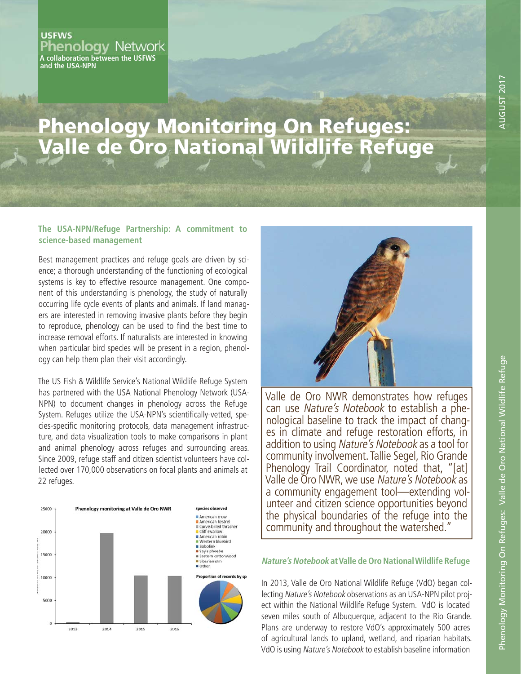#### **USFWS Phenology Network A collaboration between the USFWS and the USA-NPN**

# Phenology Monitoring On Refuges: Valle de Oro National Wildlife Refuge

### **The USA-NPN/Refuge Partnership: A commitment to science-based management**

Best management practices and refuge goals are driven by science; a thorough understanding of the functioning of ecological systems is key to effective resource management. One component of this understanding is phenology, the study of naturally occurring life cycle events of plants and animals. If land managers are interested in removing invasive plants before they begin to reproduce, phenology can be used to find the best time to increase removal efforts. If naturalists are interested in knowing when particular bird species will be present in a region, phenology can help them plan their visit accordingly.

The US Fish & Wildlife Service's National Wildlife Refuge System has partnered with the USA National Phenology Network (USA-NPN) to document changes in phenology across the Refuge System. Refuges utilize the USA-NPN's scientifically-vetted, species-specific monitoring protocols, data management infrastructure, and data visualization tools to make comparisons in plant and animal phenology across refuges and surrounding areas. Since 2009, refuge staff and citizen scientist volunteers have collected over 170,000 observations on focal plants and animals at 22 refuges.





Valle de Oro NWR demonstrates how refuges can use Nature's Notebook to establish a phenological baseline to track the impact of changes in climate and refuge restoration efforts, in addition to using Nature's Notebook as a tool for community involvement. Tallie Segel, Rio Grande Phenology Trail Coordinator, noted that, "[at] Valle de Oro NWR, we use Nature's Notebook as a community engagement tool—extending volunteer and citizen science opportunities beyond the physical boundaries of the refuge into the community and throughout the watershed."

## **Nature's Notebook at Valle de Oro National Wildlife Refuge**

In 2013, Valle de Oro National Wildlife Refuge (VdO) began collecting Nature's Notebook observations as an USA-NPN pilot project within the National Wildlife Refuge System. VdO is located seven miles south of Albuquerque, adjacent to the Rio Grande. Plans are underway to restore VdO's approximately 500 acres of agricultural lands to upland, wetland, and riparian habitats. VdO is using Nature's Notebook to establish baseline information